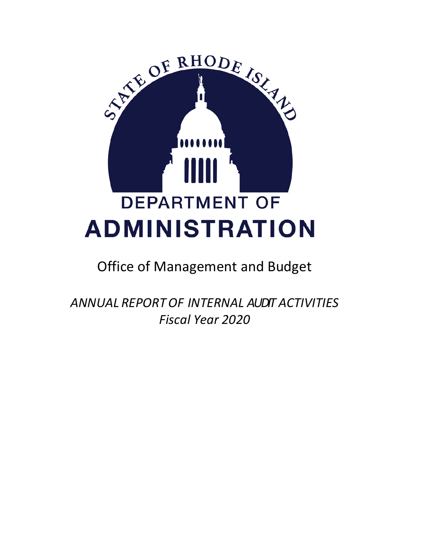

# Office of Management and Budget

*ANNUAL REPORTOF INTERNAL AUDIT ACTIVITIES Fiscal Year 2020*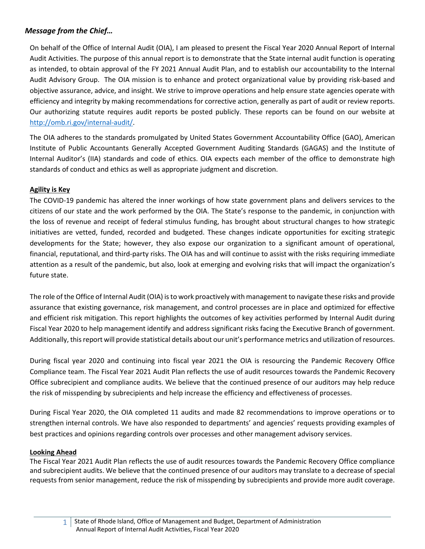# <span id="page-1-0"></span>*Message from the Chief…*

On behalf of the Office of Internal Audit (OIA), I am pleased to present the Fiscal Year 2020 Annual Report of Internal Audit Activities. The purpose of this annual report is to demonstrate that the State internal audit function is operating as intended, to obtain approval of the FY 2021 Annual Audit Plan, and to establish our accountability to the Internal Audit Advisory Group. The OIA mission is to enhance and protect organizational value by providing risk-based and objective assurance, advice, and insight. We strive to improve operations and help ensure state agencies operate with efficiency and integrity by making recommendations for corrective action, generally as part of audit or review reports. Our authorizing statute requires audit reports be posted publicly. These reports can be found on our website at [http://omb.ri.gov/internal-audit/.](http://omb.ri.gov/internal-audit/)

The OIA adheres to the standards promulgated by United States Government Accountability Office (GAO), American Institute of Public Accountants Generally Accepted Government Auditing Standards (GAGAS) and the Institute of Internal Auditor's (IIA) standards and code of ethics. OIA expects each member of the office to demonstrate high standards of conduct and ethics as well as appropriate judgment and discretion.

#### **Agility is Key**

The COVID-19 pandemic has altered the inner workings of how state government plans and delivers services to the citizens of our state and the work performed by the OIA. The State's response to the pandemic, in conjunction with the loss of revenue and receipt of federal stimulus funding, has brought about structural changes to how strategic initiatives are vetted, funded, recorded and budgeted. These changes indicate opportunities for exciting strategic developments for the State; however, they also expose our organization to a significant amount of operational, financial, reputational, and third-party risks. The OIA has and will continue to assist with the risks requiring immediate attention as a result of the pandemic, but also, look at emerging and evolving risks that will impact the organization's future state.

The role of the Office of Internal Audit (OIA) is to work proactively with management to navigate these risks and provide assurance that existing governance, risk management, and control processes are in place and optimized for effective and efficient risk mitigation. This report highlights the outcomes of key activities performed by Internal Audit during Fiscal Year 2020 to help management identify and address significant risks facing the Executive Branch of government. Additionally, this report will provide statistical details about our unit's performance metrics and utilization of resources.

During fiscal year 2020 and continuing into fiscal year 2021 the OIA is resourcing the Pandemic Recovery Office Compliance team. The Fiscal Year 2021 Audit Plan reflects the use of audit resources towards the Pandemic Recovery Office subrecipient and compliance audits. We believe that the continued presence of our auditors may help reduce the risk of misspending by subrecipients and help increase the efficiency and effectiveness of processes.

During Fiscal Year 2020, the OIA completed 11 audits and made 82 recommendations to improve operations or to strengthen internal controls. We have also responded to departments' and agencies' requests providing examples of best practices and opinions regarding controls over processes and other management advisory services.

#### **Looking Ahead**

The Fiscal Year 2021 Audit Plan reflects the use of audit resources towards the Pandemic Recovery Office compliance and subrecipient audits. We believe that the continued presence of our auditors may translate to a decrease of special requests from senior management, reduce the risk of misspending by subrecipients and provide more audit coverage.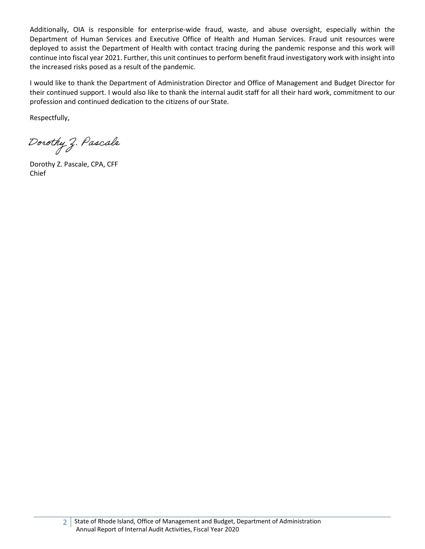Additionally, OIA is responsible for enterprise-wide fraud, waste, and abuse oversight, especially within the Department of Human Services and Executive Office of Health and Human Services. Fraud unit resources were deployed to assist the Department of Health with contact tracing during the pandemic response and this work will continue into fiscal year 2021. Further, this unit continues to perform benefit fraud investigatory work with insight into the increased risks posed as a result of the pandemic.

I would like to thank the Department of Administration Director and Office of Management and Budget Director for their continued support. I would also like to thank the internal audit staff for all their hard work, commitment to our profession and continued dedication to the citizens of our State.

Respectfully,

Dorothy Z. Pascale

Dorothy Z. Pascale, CPA, CFF Chief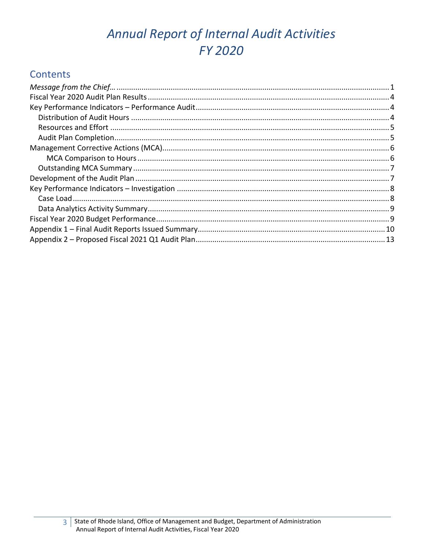# Annual Report of Internal Audit Activities **FY 2020**

# **Contents**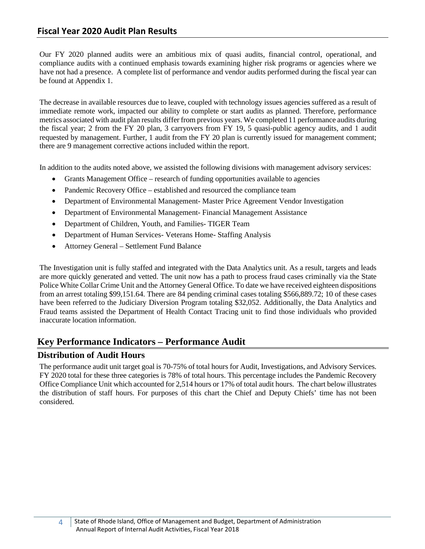# <span id="page-4-0"></span>**Fiscal Year 2020 Audit Plan Results**

Our FY 2020 planned audits were an ambitious mix of quasi audits, financial control, operational, and compliance audits with a continued emphasis towards examining higher risk programs or agencies where we have not had a presence. A complete list of performance and vendor audits performed during the fiscal year can be found at Appendix 1.

The decrease in available resources due to leave, coupled with technology issues agencies suffered as a result of immediate remote work, impacted our ability to complete or start audits as planned. Therefore, performance metrics associated with audit plan results differ from previous years. We completed 11 performance audits during the fiscal year; 2 from the FY 20 plan, 3 carryovers from FY 19, 5 quasi-public agency audits, and 1 audit requested by management. Further, 1 audit from the FY 20 plan is currently issued for management comment; there are 9 management corrective actions included within the report.

In addition to the audits noted above, we assisted the following divisions with management advisory services:

- Grants Management Office research of funding opportunities available to agencies
- Pandemic Recovery Office established and resourced the compliance team
- Department of Environmental Management-Master Price Agreement Vendor Investigation
- Department of Environmental Management- Financial Management Assistance
- Department of Children, Youth, and Families- TIGER Team
- Department of Human Services- Veterans Home- Staffing Analysis
- Attorney General Settlement Fund Balance

The Investigation unit is fully staffed and integrated with the Data Analytics unit. As a result, targets and leads are more quickly generated and vetted. The unit now has a path to process fraud cases criminally via the State Police White Collar Crime Unit and the Attorney General Office. To date we have received eighteen dispositions from an arrest totaling \$99,151.64. There are 84 pending criminal cases totaling \$566,889.72; 10 of these cases have been referred to the Judiciary Diversion Program totaling \$32,052. Additionally, the Data Analytics and Fraud teams assisted the Department of Health Contact Tracing unit to find those individuals who provided inaccurate location information.

# <span id="page-4-1"></span>**Key Performance Indicators – Performance Audit**

# <span id="page-4-2"></span>**Distribution of Audit Hours**

The performance audit unit target goal is 70-75% of total hours for Audit, Investigations, and Advisory Services. FY 2020 total for these three categories is 78% of total hours. This percentage includes the Pandemic Recovery Office Compliance Unit which accounted for 2,514 hours or 17% of total audit hours. The chart below illustrates the distribution of staff hours. For purposes of this chart the Chief and Deputy Chiefs' time has not been considered.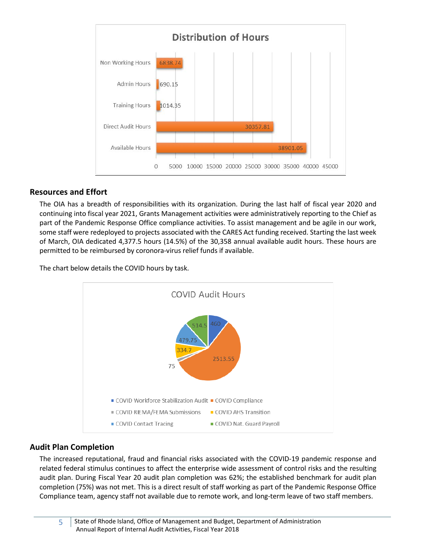

# <span id="page-5-0"></span>**Resources and Effort**

The OIA has a breadth of responsibilities with its organization. During the last half of fiscal year 2020 and continuing into fiscal year 2021, Grants Management activities were administratively reporting to the Chief as part of the Pandemic Response Office compliance activities. To assist management and be agile in our work, some staff were redeployed to projects associated with the CARES Act funding received. Starting the last week of March, OIA dedicated 4,377.5 hours (14.5%) of the 30,358 annual available audit hours. These hours are permitted to be reimbursed by coronora-virus relief funds if available.

The chart below details the COVID hours by task.



# <span id="page-5-1"></span>**Audit Plan Completion**

The increased reputational, fraud and financial risks associated with the COVID-19 pandemic response and related federal stimulus continues to affect the enterprise wide assessment of control risks and the resulting audit plan. During Fiscal Year 20 audit plan completion was 62%; the established benchmark for audit plan completion (75%) was not met. This is a direct result of staff working as part of the Pandemic Response Office Compliance team, agency staff not available due to remote work, and long-term leave of two staff members.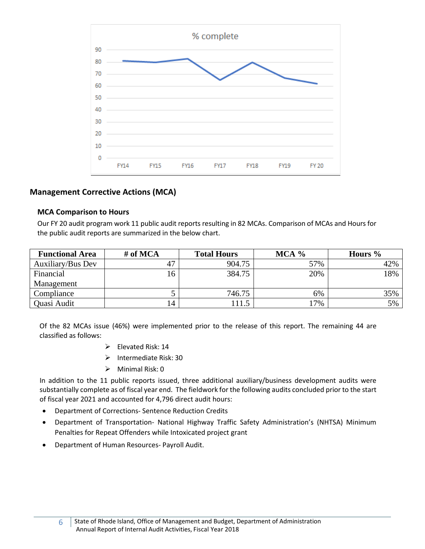

# <span id="page-6-0"></span>**Management Corrective Actions (MCA)**

#### <span id="page-6-1"></span>**MCA Comparison to Hours**

Our FY 20 audit program work 11 public audit reports resulting in 82 MCAs. Comparison of MCAs and Hours for the public audit reports are summarized in the below chart.

| <b>Functional Area</b> | # of MCA | <b>Total Hours</b> | MCA % | Hours $\%$ |
|------------------------|----------|--------------------|-------|------------|
| Auxiliary/Bus Dev      | 47       | 904.75             | 57%   | 42%        |
| Financial              | 16       | 384.75             | 20%   | 18%        |
| Management             |          |                    |       |            |
| Compliance             |          | 746.75             | 6%    | 35%        |
| Quasi Audit            | 14       | 11.5               | 7%    | 5%         |

Of the 82 MCAs issue (46%) were implemented prior to the release of this report. The remaining 44 are classified as follows:

- $\triangleright$  Elevated Risk: 14
- $\triangleright$  Intermediate Risk: 30
- $\triangleright$  Minimal Risk: 0

In addition to the 11 public reports issued, three additional auxiliary/business development audits were substantially complete as of fiscal year end. The fieldwork for the following audits concluded prior to the start of fiscal year 2021 and accounted for 4,796 direct audit hours:

- Department of Corrections- Sentence Reduction Credits
- Department of Transportation- National Highway Traffic Safety Administration's (NHTSA) Minimum Penalties for Repeat Offenders while Intoxicated project grant
- Department of Human Resources- Payroll Audit.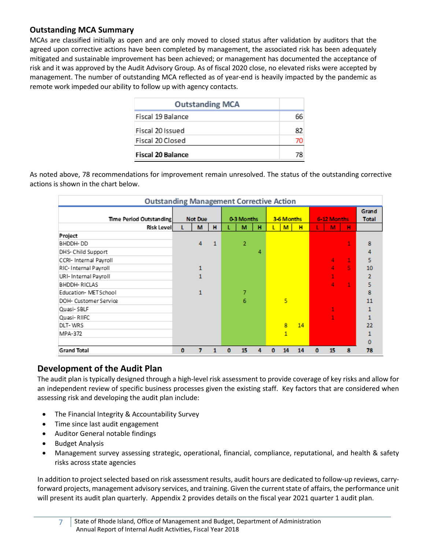# <span id="page-7-0"></span>**Outstanding MCA Summary**

MCAs are classified initially as open and are only moved to closed status after validation by auditors that the agreed upon corrective actions have been completed by management, the associated risk has been adequately mitigated and sustainable improvement has been achieved; or management has documented the acceptance of risk and it was approved by the Audit Advisory Group. As of fiscal 2020 close, no elevated risks were accepted by management. The number of outstanding MCA reflected as of year-end is heavily impacted by the pandemic as remote work impeded our ability to follow up with agency contacts.

| <b>Outstanding MCA</b>   |    |
|--------------------------|----|
| Fiscal 19 Balance        | 66 |
| Fiscal 20 Issued         | 82 |
| Fiscal 20 Closed         | 70 |
| <b>Fiscal 20 Balance</b> | 79 |

As noted above, 78 recommendations for improvement remain unresolved. The status of the outstanding corrective actions is shown in the chart below.

| <b>Outstanding Management Corrective Action</b> |             |   |            |   |                |            |   |              |             |   |    |                       |                |
|-------------------------------------------------|-------------|---|------------|---|----------------|------------|---|--------------|-------------|---|----|-----------------------|----------------|
| Time Period Outstanding                         | Not Due     |   | 0-3 Months |   |                | 3-6 Months |   |              | 6-12 Months |   |    | Grand<br><b>Total</b> |                |
| <b>Risk Levell</b>                              | L           | M | н          |   | м              | н          |   | M            | н           |   | M  | н                     |                |
| Project                                         |             |   |            |   |                |            |   |              |             |   |    |                       |                |
| BHDDH-DD                                        |             | 4 | 1          |   | $\overline{2}$ |            |   |              |             |   |    |                       | 8              |
| DHS- Child Support                              |             |   |            |   |                | 4          |   |              |             |   |    |                       | 4              |
| CCRI- Internal Payroll                          |             |   |            |   |                |            |   |              |             |   | 4  | $\mathbf{1}$          | 5              |
| RIC-Internal Payroll                            |             | 1 |            |   |                |            |   |              |             |   | 4  | 5.                    | 10             |
| URI-Internal Payroll                            |             |   |            |   |                |            |   |              |             |   |    |                       | $\overline{2}$ |
| BHDDH-RICLAS                                    |             |   |            |   |                |            |   |              |             |   | 4  | $\mathbf{1}$          | 5              |
| Education-METSchool                             |             | 1 |            |   | 7              |            |   |              |             |   |    |                       | 8              |
| DOH- Customer Service                           |             |   |            |   | 6              |            |   | 5            |             |   |    |                       | 11             |
| Quasi-SBLF                                      |             |   |            |   |                |            |   |              |             |   |    |                       |                |
| Quasi-RIIFC                                     |             |   |            |   |                |            |   |              |             |   |    |                       |                |
| DLT-WRS                                         |             |   |            |   |                |            |   | 8            | 14          |   |    |                       | 22             |
| MPA-372                                         |             |   |            |   |                |            |   | $\mathbf{1}$ |             |   |    |                       |                |
|                                                 |             |   |            |   |                |            |   |              |             |   |    |                       | $\mathbf 0$    |
| <b>Grand Total</b>                              | $\mathbf 0$ | 7 |            | n | 15             | 4          | ٥ | 14           | 14          | 0 | 15 | 8                     | 78             |

# <span id="page-7-1"></span>**Development of the Audit Plan**

The audit plan is typically designed through a high-level risk assessment to provide coverage of key risks and allow for an independent review of specific business processes given the existing staff. Key factors that are considered when assessing risk and developing the audit plan include:

- The Financial Integrity & Accountability Survey
- Time since last audit engagement
- Auditor General notable findings
- Budget Analysis
- Management survey assessing strategic, operational, financial, compliance, reputational, and health & safety risks across state agencies

In addition to project selected based on risk assessment results, audit hours are dedicated to follow-up reviews, carryforward projects, management advisory services, and training. Given the current state of affairs, the performance unit will present its audit plan quarterly. Appendix 2 provides details on the fiscal year 2021 quarter 1 audit plan.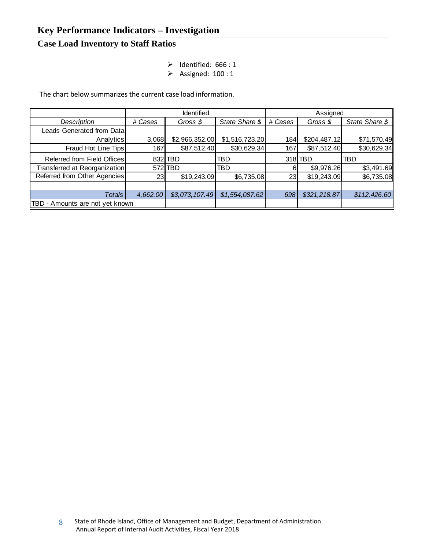# <span id="page-8-1"></span><span id="page-8-0"></span>**Case Load Inventory to Staff Ratios**

- $\triangleright$  Identified: 666 : 1
- $\triangleright$  Assigned: 100 : 1

The chart below summarizes the current case load information.

|                                 |          | Identified     |                | Assigned |              |                |  |
|---------------------------------|----------|----------------|----------------|----------|--------------|----------------|--|
| Description                     | # Cases  | Gross \$       | State Share \$ | # Cases  | Gross $$$    | State Share \$ |  |
| Leads Generated from Data       |          |                |                |          |              |                |  |
| Analytics                       | 3,068    | \$2,966,352.00 | \$1,516,723.20 | 184      | \$204,487.12 | \$71,570.49    |  |
| Fraud Hot Line Tips             | 167      | \$87,512.40    | \$30,629.34    | 167      | \$87,512.40  | \$30,629.34    |  |
| Referred from Field Offices     | 832I     | <b>TBD</b>     | TBD            |          | 318 TBD      | TBD            |  |
| Transferred at Reorganization   |          | 572 TBD        | TBD            | 6        | \$9,976.26   | \$3,491.69     |  |
| Referred from Other Agencies    | 23       | \$19,243.09    | \$6,735.08     | 23       | \$19,243.09  | \$6,735.08     |  |
|                                 |          |                |                |          |              |                |  |
| Totals                          | 4,662.00 | \$3,073,107.49 | \$1,554,087.62 | 698      | \$321,218.87 | \$112,426.60   |  |
| TBD - Amounts are not yet known |          |                |                |          |              |                |  |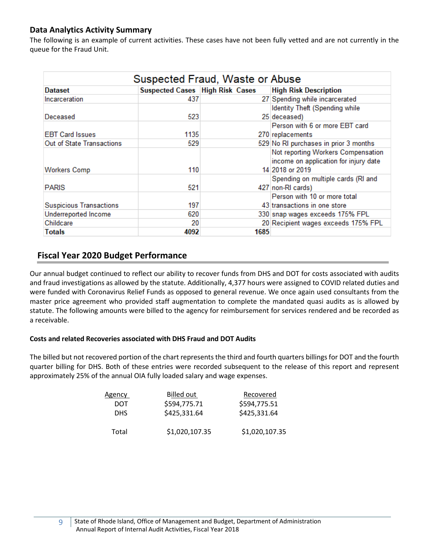# <span id="page-9-0"></span>**Data Analytics Activity Summary**

The following is an example of current activities. These cases have not been fully vetted and are not currently in the queue for the Fraud Unit.

| Suspected Fraud, Waste or Abuse |                                        |      |                                                                                                |  |  |  |  |  |
|---------------------------------|----------------------------------------|------|------------------------------------------------------------------------------------------------|--|--|--|--|--|
| <b>Dataset</b>                  | <b>Suspected Cases High Risk Cases</b> |      | <b>High Risk Description</b>                                                                   |  |  |  |  |  |
| Incarceration                   | 437                                    |      | 27 Spending while incarcerated                                                                 |  |  |  |  |  |
|                                 |                                        |      | Identity Theft (Spending while                                                                 |  |  |  |  |  |
| Deceased                        | 523                                    |      | 25 deceased)                                                                                   |  |  |  |  |  |
|                                 |                                        |      | Person with 6 or more EBT card                                                                 |  |  |  |  |  |
| <b>EBT Card Issues</b>          | 1135                                   |      | 270 replacements                                                                               |  |  |  |  |  |
| Out of State Transactions       | 529                                    |      | 529 No RI purchases in prior 3 months                                                          |  |  |  |  |  |
| Workers Comp                    | 110                                    |      | Not reporting Workers Compensation<br>income on application for injury date<br>14 2018 or 2019 |  |  |  |  |  |
| <b>PARIS</b>                    | 521                                    |      | Spending on multiple cards (RI and<br>427 non-RI cards)                                        |  |  |  |  |  |
| <b>Suspicious Transactions</b>  | 197                                    |      | Person with 10 or more total<br>43 transactions in one store                                   |  |  |  |  |  |
| Underreported Income            | 620                                    |      | 330 snap wages exceeds 175% FPL                                                                |  |  |  |  |  |
| Childcare                       | 20                                     |      | 20 Recipient wages exceeds 175% FPL                                                            |  |  |  |  |  |
| <b>Totals</b>                   | 4092                                   | 1685 |                                                                                                |  |  |  |  |  |

# <span id="page-9-1"></span>**Fiscal Year 2020 Budget Performance**

Our annual budget continued to reflect our ability to recover funds from DHS and DOT for costs associated with audits and fraud investigations as allowed by the statute. Additionally, 4,377 hours were assigned to COVID related duties and were funded with Coronavirus Relief Funds as opposed to general revenue. We once again used consultants from the master price agreement who provided staff augmentation to complete the mandated quasi audits as is allowed by statute. The following amounts were billed to the agency for reimbursement for services rendered and be recorded as a receivable.

# **Costs and related Recoveries associated with DHS Fraud and DOT Audits**

The billed but not recovered portion of the chart represents the third and fourth quarters billings for DOT and the fourth quarter billing for DHS. Both of these entries were recorded subsequent to the release of this report and represent approximately 25% of the annual OIA fully loaded salary and wage expenses.

| Agency     | <b>Billed out</b> | Recovered      |
|------------|-------------------|----------------|
| DOT        | \$594,775.71      | \$594,775.51   |
| <b>DHS</b> | \$425,331.64      | \$425,331.64   |
| Total      | \$1,020,107.35    | \$1,020,107.35 |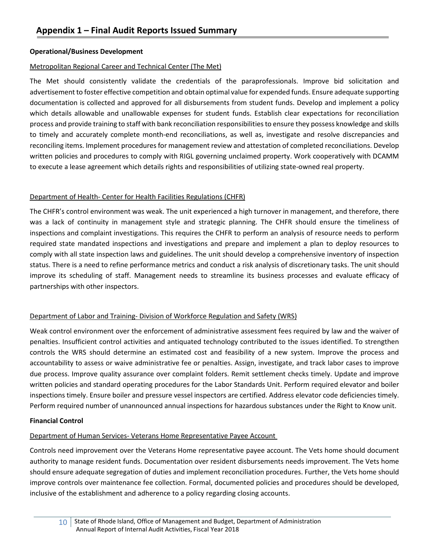# <span id="page-10-0"></span>**Operational/Business Development**

# Metropolitan Regional Career and Technical Center (The Met)

The Met should consistently validate the credentials of the paraprofessionals. Improve bid solicitation and advertisement to foster effective competition and obtain optimal value for expended funds. Ensure adequate supporting documentation is collected and approved for all disbursements from student funds. Develop and implement a policy which details allowable and unallowable expenses for student funds. Establish clear expectations for reconciliation process and provide training to staff with bank reconciliation responsibilities to ensure they possess knowledge and skills to timely and accurately complete month-end reconciliations, as well as, investigate and resolve discrepancies and reconciling items. Implement procedures for management review and attestation of completed reconciliations. Develop written policies and procedures to comply with RIGL governing unclaimed property. Work cooperatively with DCAMM to execute a lease agreement which details rights and responsibilities of utilizing state-owned real property.

# Department of Health- Center for Health Facilities Regulations (CHFR)

The CHFR's control environment was weak. The unit experienced a high turnover in management, and therefore, there was a lack of continuity in management style and strategic planning. The CHFR should ensure the timeliness of inspections and complaint investigations. This requires the CHFR to perform an analysis of resource needs to perform required state mandated inspections and investigations and prepare and implement a plan to deploy resources to comply with all state inspection laws and guidelines. The unit should develop a comprehensive inventory of inspection status. There is a need to refine performance metrics and conduct a risk analysis of discretionary tasks. The unit should improve its scheduling of staff. Management needs to streamline its business processes and evaluate efficacy of partnerships with other inspectors.

# Department of Labor and Training- Division of Workforce Regulation and Safety (WRS)

Weak control environment over the enforcement of administrative assessment fees required by law and the waiver of penalties. Insufficient control activities and antiquated technology contributed to the issues identified. To strengthen controls the WRS should determine an estimated cost and feasibility of a new system. Improve the process and accountability to assess or waive administrative fee or penalties. Assign, investigate, and track labor cases to improve due process. Improve quality assurance over complaint folders. Remit settlement checks timely. Update and improve written policies and standard operating procedures for the Labor Standards Unit. Perform required elevator and boiler inspections timely. Ensure boiler and pressure vessel inspectors are certified. Address elevator code deficiencies timely. Perform required number of unannounced annual inspections for hazardous substances under the Right to Know unit.

# **Financial Control**

# Department of Human Services- Veterans Home Representative Payee Account

Controls need improvement over the Veterans Home representative payee account. The Vets home should document authority to manage resident funds. Documentation over resident disbursements needs improvement. The Vets home should ensure adequate segregation of duties and implement reconciliation procedures. Further, the Vets home should improve controls over maintenance fee collection. Formal, documented policies and procedures should be developed, inclusive of the establishment and adherence to a policy regarding closing accounts.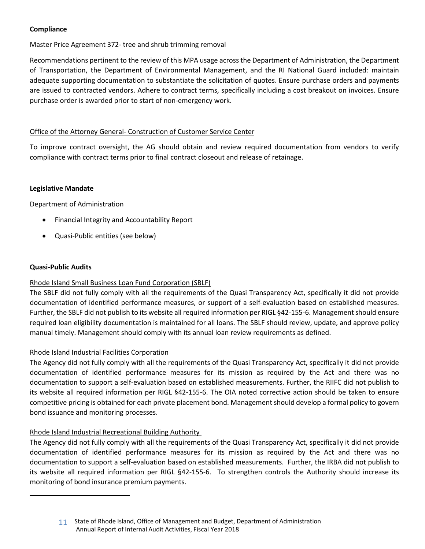#### **Compliance**

# Master Price Agreement 372- tree and shrub trimming removal

Recommendations pertinent to the review of this MPA usage across the Department of Administration, the Department of Transportation, the Department of Environmental Management, and the RI National Guard included: maintain adequate supporting documentation to substantiate the solicitation of quotes. Ensure purchase orders and payments are issued to contracted vendors. Adhere to contract terms, specifically including a cost breakout on invoices. Ensure purchase order is awarded prior to start of non-emergency work.

# Office of the Attorney General- Construction of Customer Service Center

To improve contract oversight, the AG should obtain and review required documentation from vendors to verify compliance with contract terms prior to final contract closeout and release of retainage.

#### **Legislative Mandate**

Department of Administration

- Financial Integrity and Accountability Report
- Quasi-Public entities (see below)

#### **Quasi-Public Audits**

# Rhode Island Small Business Loan Fund Corporation (SBLF)

The SBLF did not fully comply with all the requirements of the Quasi Transparency Act, specifically it did not provide documentation of identified performance measures, or support of a self-evaluation based on established measures. Further, the SBLF did not publish to its website all required information per RIGL §42-155-6. Management should ensure required loan eligibility documentation is maintained for all loans. The SBLF should review, update, and approve policy manual timely. Management should comply with its annual loan review requirements as defined.

# Rhode Island Industrial Facilities Corporation

The Agency did not fully comply with all the requirements of the Quasi Transparency Act, specifically it did not provide documentation of identified performance measures for its mission as required by the Act and there was no documentation to support a self-evaluation based on established measurements. Further, the RIIFC did not publish to its website all required information per RIGL §42-155-6. The OIA noted corrective action should be taken to ensure competitive pricing is obtained for each private placement bond. Management should develop a formal policy to govern bond issuance and monitoring processes.

# Rhode Island Industrial Recreational Building Authority

The Agency did not fully comply with all the requirements of the Quasi Transparency Act, specifically it did not provide documentation of identified performance measures for its mission as required by the Act and there was no documentation to support a self-evaluation based on established measurements. Further, the IRBA did not publish to its website all required information per RIGL §42-155-6. To strengthen controls the Authority should increase its monitoring of bond insurance premium payments.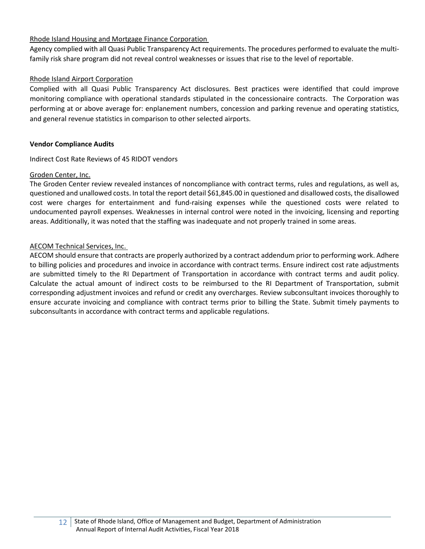#### Rhode Island Housing and Mortgage Finance Corporation

Agency complied with all Quasi Public Transparency Act requirements. The procedures performed to evaluate the multifamily risk share program did not reveal control weaknesses or issues that rise to the level of reportable.

#### Rhode Island Airport Corporation

Complied with all Quasi Public Transparency Act disclosures. Best practices were identified that could improve monitoring compliance with operational standards stipulated in the concessionaire contracts. The Corporation was performing at or above average for: enplanement numbers, concession and parking revenue and operating statistics, and general revenue statistics in comparison to other selected airports.

#### **Vendor Compliance Audits**

Indirect Cost Rate Reviews of 45 RIDOT vendors

#### Groden Center, Inc.

The Groden Center review revealed instances of noncompliance with contract terms, rules and regulations, as well as, questioned and unallowed costs. In total the report detail \$61,845.00 in questioned and disallowed costs, the disallowed cost were charges for entertainment and fund-raising expenses while the questioned costs were related to undocumented payroll expenses. Weaknesses in internal control were noted in the invoicing, licensing and reporting areas. Additionally, it was noted that the staffing was inadequate and not properly trained in some areas.

#### AECOM Technical Services, Inc.

AECOM should ensure that contracts are properly authorized by a contract addendum prior to performing work. Adhere to billing policies and procedures and invoice in accordance with contract terms. Ensure indirect cost rate adjustments are submitted timely to the RI Department of Transportation in accordance with contract terms and audit policy. Calculate the actual amount of indirect costs to be reimbursed to the RI Department of Transportation, submit corresponding adjustment invoices and refund or credit any overcharges. Review subconsultant invoices thoroughly to ensure accurate invoicing and compliance with contract terms prior to billing the State. Submit timely payments to subconsultants in accordance with contract terms and applicable regulations.